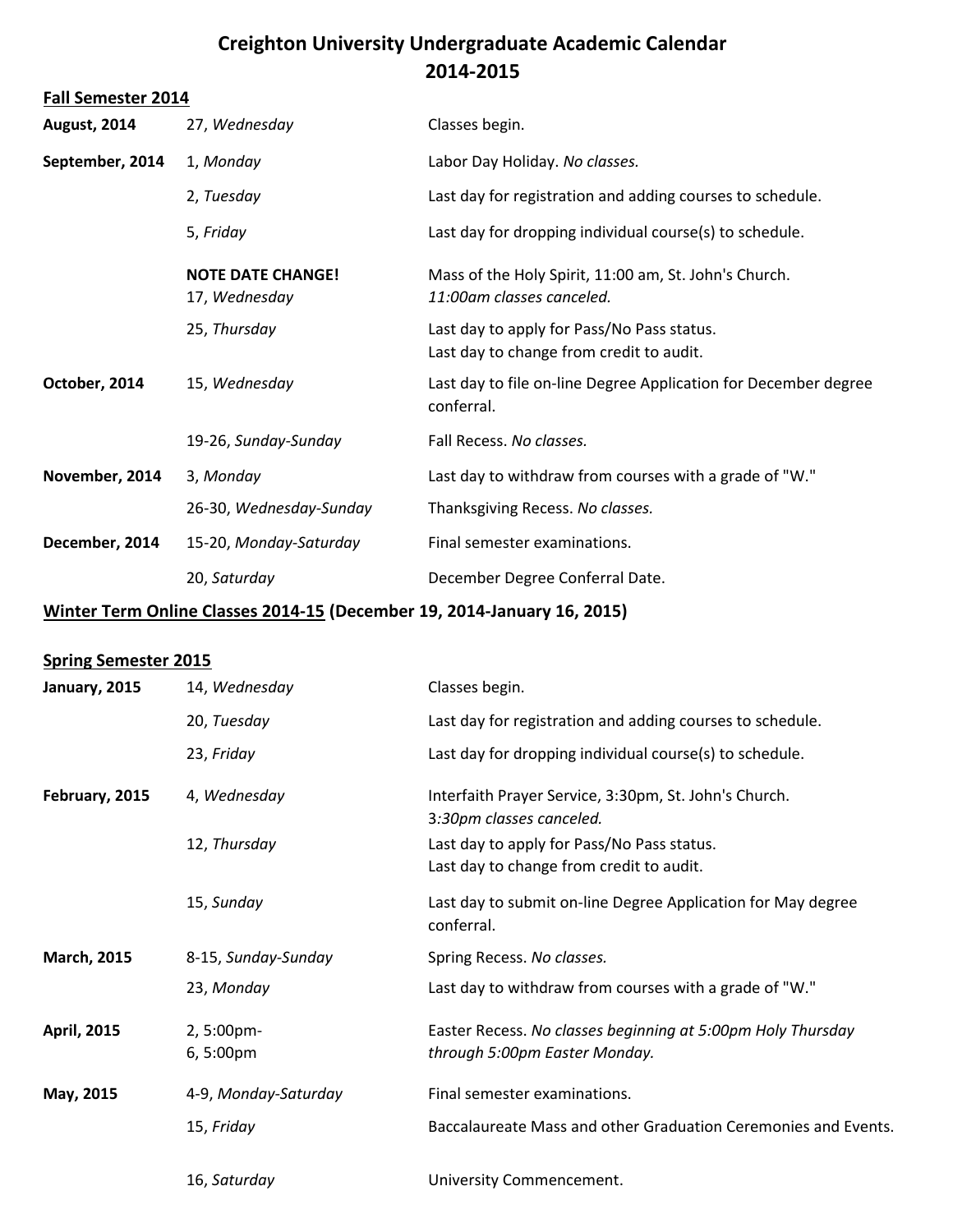# **Creighton University Undergraduate Academic Calendar 2014-2015**

|  |  |  |  | <b>Fall Semester 2014</b> |
|--|--|--|--|---------------------------|
|--|--|--|--|---------------------------|

| <b>August, 2014</b> | 27, Wednesday                             | Classes begin.                                                                         |
|---------------------|-------------------------------------------|----------------------------------------------------------------------------------------|
| September, 2014     | 1, Monday                                 | Labor Day Holiday. No classes.                                                         |
|                     | 2, Tuesday                                | Last day for registration and adding courses to schedule.                              |
|                     | 5, Friday                                 | Last day for dropping individual course(s) to schedule.                                |
|                     | <b>NOTE DATE CHANGE!</b><br>17, Wednesday | Mass of the Holy Spirit, 11:00 am, St. John's Church.<br>11:00am classes canceled.     |
|                     | 25, Thursday                              | Last day to apply for Pass/No Pass status.<br>Last day to change from credit to audit. |
| October, 2014       | 15, Wednesday                             | Last day to file on-line Degree Application for December degree<br>conferral.          |
|                     | 19-26, Sunday-Sunday                      | Fall Recess. No classes.                                                               |
| November, 2014      | 3, Monday                                 | Last day to withdraw from courses with a grade of "W."                                 |
|                     | 26-30, Wednesday-Sunday                   | Thanksgiving Recess. No classes.                                                       |
| December, 2014      | 15-20, Monday-Saturday                    | Final semester examinations.                                                           |
|                     | 20, Saturday                              | December Degree Conferral Date.                                                        |

### **Winter Term Online Classes 2014-15 (December 19, 2014-January 16, 2015)**

#### **Spring Semester 2015**

| January, 2015      | 14, Wednesday          | Classes begin.                                                                               |
|--------------------|------------------------|----------------------------------------------------------------------------------------------|
|                    | 20, Tuesday            | Last day for registration and adding courses to schedule.                                    |
|                    | 23, Friday             | Last day for dropping individual course(s) to schedule.                                      |
| February, 2015     | 4, Wednesday           | Interfaith Prayer Service, 3:30pm, St. John's Church.<br>3:30pm classes canceled.            |
|                    | 12, Thursday           | Last day to apply for Pass/No Pass status.<br>Last day to change from credit to audit.       |
|                    | 15, Sunday             | Last day to submit on-line Degree Application for May degree<br>conferral.                   |
| <b>March, 2015</b> | 8-15, Sunday-Sunday    | Spring Recess. No classes.                                                                   |
|                    | 23, Monday             | Last day to withdraw from courses with a grade of "W."                                       |
| <b>April, 2015</b> | 2, 5:00pm-<br>6,5:00pm | Easter Recess. No classes beginning at 5:00pm Holy Thursday<br>through 5:00pm Easter Monday. |
| May, 2015          | 4-9, Monday-Saturday   | Final semester examinations.                                                                 |
|                    | 15, Friday             | Baccalaureate Mass and other Graduation Ceremonies and Events.                               |
|                    | 16, Saturday           | University Commencement.                                                                     |